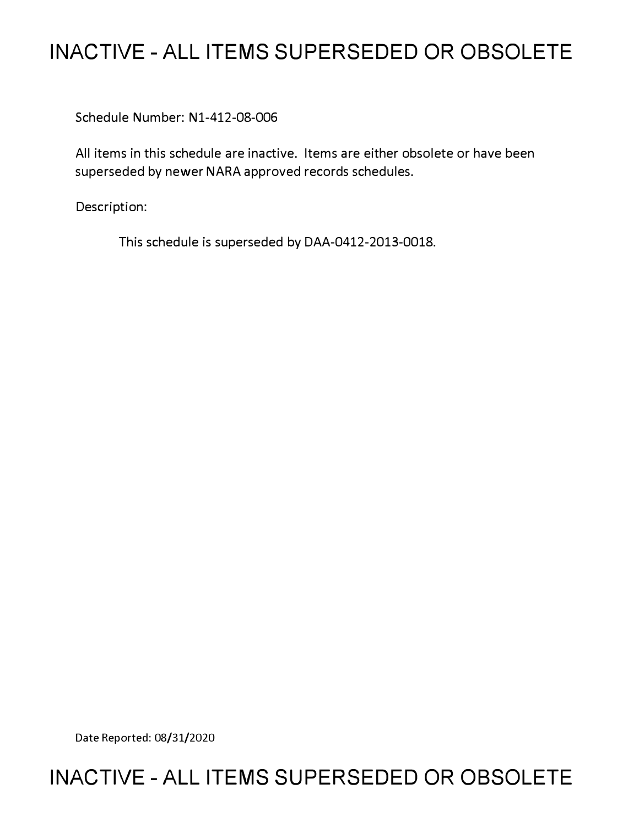# **INACTIVE - ALL ITEMS SUPERSEDED OR OBSOLETE**

Schedule Number: Nl-412-08-006

All items in this schedule are inactive. Items are either obsolete or have been superseded by newer NARA approved records schedules.

Description:

This schedule is superseded by DAA-0412-2013-0018.

Date Reported: 08/31/2020

# **INACTIVE - ALL ITEMS SUPERSEDED OR OBSOLETE**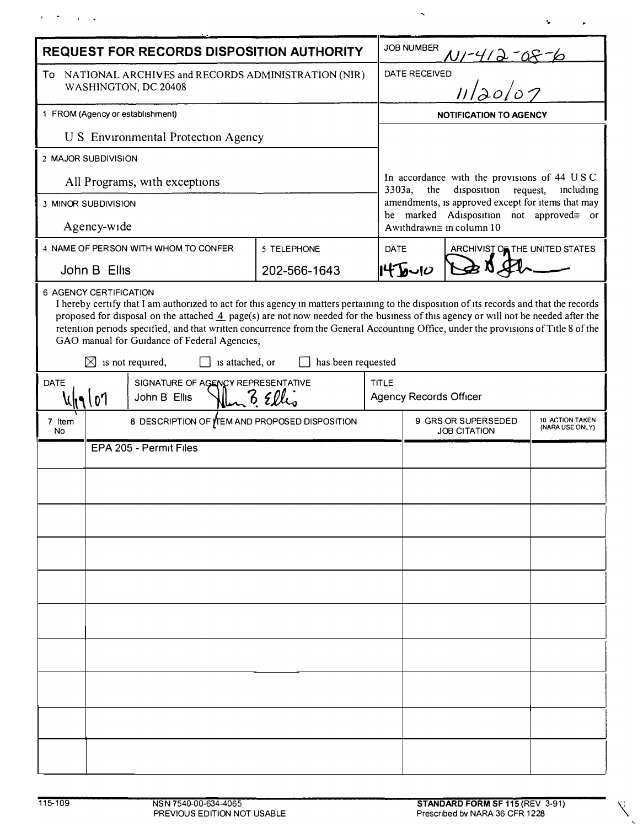| <b>REQUEST FOR RECORDS DISPOSITION AUTHORITY</b>                                                                                                                                                                                                                                                                                                                                                                                                                                                                                          |                           |                                               |  |              |              | <b>JOB NUMBER</b>                                                                                                                                                                                                             |                                |                                    |  |
|-------------------------------------------------------------------------------------------------------------------------------------------------------------------------------------------------------------------------------------------------------------------------------------------------------------------------------------------------------------------------------------------------------------------------------------------------------------------------------------------------------------------------------------------|---------------------------|-----------------------------------------------|--|--------------|--------------|-------------------------------------------------------------------------------------------------------------------------------------------------------------------------------------------------------------------------------|--------------------------------|------------------------------------|--|
| To NATIONAL ARCHIVES and RECORDS ADMINISTRATION (NIR)<br>WASHINGTON, DC 20408                                                                                                                                                                                                                                                                                                                                                                                                                                                             |                           |                                               |  |              |              | N1-412-08-6<br><sup>ED</sup> II/20/07<br>DATE RECEIVED                                                                                                                                                                        |                                |                                    |  |
|                                                                                                                                                                                                                                                                                                                                                                                                                                                                                                                                           |                           |                                               |  |              |              |                                                                                                                                                                                                                               |                                |                                    |  |
| 1 FROM (Agency or establishment)                                                                                                                                                                                                                                                                                                                                                                                                                                                                                                          |                           |                                               |  |              |              | <b>NOTIFICATION TO AGENCY</b>                                                                                                                                                                                                 |                                |                                    |  |
| <b>U S</b> Environmental Protection Agency                                                                                                                                                                                                                                                                                                                                                                                                                                                                                                |                           |                                               |  |              |              |                                                                                                                                                                                                                               |                                |                                    |  |
| 2 MAJOR SUBDIVISION                                                                                                                                                                                                                                                                                                                                                                                                                                                                                                                       |                           |                                               |  |              |              | In accordance with the provisions of 44 USC<br>3303a,<br>the<br>disposition request,<br>including<br>amendments, is approved except for items that may<br>be marked Adisposition not approved≅ or<br>Awithdrawn≅ in column 10 |                                |                                    |  |
| All Programs, with exceptions                                                                                                                                                                                                                                                                                                                                                                                                                                                                                                             |                           |                                               |  |              |              |                                                                                                                                                                                                                               |                                |                                    |  |
| 3 MINOR SUBDIVISION                                                                                                                                                                                                                                                                                                                                                                                                                                                                                                                       |                           |                                               |  |              |              |                                                                                                                                                                                                                               |                                |                                    |  |
| Agency-wide                                                                                                                                                                                                                                                                                                                                                                                                                                                                                                                               |                           |                                               |  |              |              |                                                                                                                                                                                                                               |                                |                                    |  |
| 4 NAME OF PERSON WITH WHOM TO CONFER<br>5 TELEPHONE                                                                                                                                                                                                                                                                                                                                                                                                                                                                                       |                           |                                               |  |              | <b>DATE</b>  |                                                                                                                                                                                                                               | ARCHIVIST OF THE UNITED STATES |                                    |  |
| John B Ellis                                                                                                                                                                                                                                                                                                                                                                                                                                                                                                                              |                           |                                               |  | 202-566-1643 |              | 145010                                                                                                                                                                                                                        |                                |                                    |  |
| I hereby certify that I am authorized to act for this agency in matters pertaining to the disposition of its records and that the records<br>proposed for disposal on the attached 4 page(s) are not now needed for the business of this agency or will not be needed after the<br>retention periods specified, and that written concurrence from the General Accounting Office, under the provisions of Title 8 of the<br>GAO manual for Guidance of Federal Agencies,<br>has been requested<br>⊠<br>is not required,<br>is attached, or |                           |                                               |  |              |              |                                                                                                                                                                                                                               |                                |                                    |  |
| SIGNATURE OF AGENCY REPRESENTATIVE<br><b>DATE</b>                                                                                                                                                                                                                                                                                                                                                                                                                                                                                         |                           |                                               |  |              | <b>TITLE</b> |                                                                                                                                                                                                                               |                                |                                    |  |
|                                                                                                                                                                                                                                                                                                                                                                                                                                                                                                                                           | $6$ Ellio<br>John B Ellis |                                               |  |              |              | <b>Agency Records Officer</b>                                                                                                                                                                                                 |                                |                                    |  |
| 7 Item<br>No.                                                                                                                                                                                                                                                                                                                                                                                                                                                                                                                             |                           | 8 DESCRIPTION OF TEM AND PROPOSED DISPOSITION |  |              |              | 9 GRS OR SUPERSEDED<br><b>JOB CITATION</b>                                                                                                                                                                                    |                                | 10 ACTION TAKEN<br>(NARA USE ONLY) |  |
|                                                                                                                                                                                                                                                                                                                                                                                                                                                                                                                                           | EPA 205 - Permit Files    |                                               |  |              |              |                                                                                                                                                                                                                               |                                |                                    |  |
|                                                                                                                                                                                                                                                                                                                                                                                                                                                                                                                                           |                           |                                               |  |              |              |                                                                                                                                                                                                                               |                                |                                    |  |
|                                                                                                                                                                                                                                                                                                                                                                                                                                                                                                                                           |                           |                                               |  |              |              |                                                                                                                                                                                                                               |                                |                                    |  |
|                                                                                                                                                                                                                                                                                                                                                                                                                                                                                                                                           |                           |                                               |  |              |              |                                                                                                                                                                                                                               |                                |                                    |  |
|                                                                                                                                                                                                                                                                                                                                                                                                                                                                                                                                           |                           |                                               |  |              |              |                                                                                                                                                                                                                               |                                |                                    |  |
|                                                                                                                                                                                                                                                                                                                                                                                                                                                                                                                                           |                           |                                               |  |              |              |                                                                                                                                                                                                                               |                                |                                    |  |
|                                                                                                                                                                                                                                                                                                                                                                                                                                                                                                                                           |                           |                                               |  |              |              |                                                                                                                                                                                                                               |                                |                                    |  |
|                                                                                                                                                                                                                                                                                                                                                                                                                                                                                                                                           |                           |                                               |  |              |              |                                                                                                                                                                                                                               |                                |                                    |  |
|                                                                                                                                                                                                                                                                                                                                                                                                                                                                                                                                           |                           |                                               |  |              |              |                                                                                                                                                                                                                               |                                |                                    |  |
|                                                                                                                                                                                                                                                                                                                                                                                                                                                                                                                                           |                           |                                               |  |              |              |                                                                                                                                                                                                                               |                                |                                    |  |
|                                                                                                                                                                                                                                                                                                                                                                                                                                                                                                                                           |                           |                                               |  |              |              |                                                                                                                                                                                                                               |                                |                                    |  |

 $\lambda$  ,  $\lambda$  ,  $\lambda$  ,  $\lambda$ 

 $\overline{\chi}$  $\hat{\mathbf{v}}$ 

 $\gamma$ 

 $\ddot{\phantom{1}}$ 

 $\bar{\mathcal{A}}$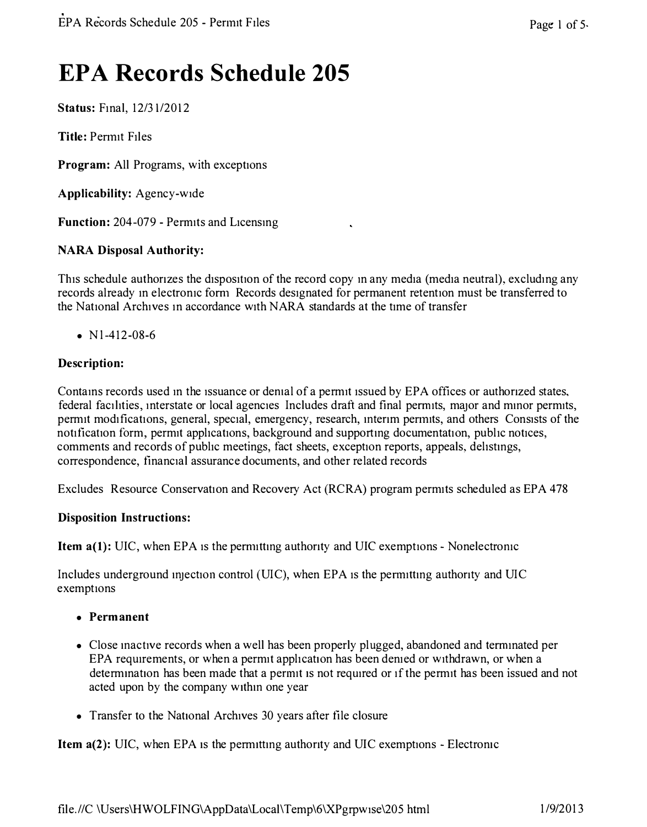# **EPA Records Schedule 205**

**Status:** Final, 12/31/2012

**Title:** Penmt Files

**Program:** All Programs, with exceptions

**Applicability:** Agency-wide

**Function:** 204-079 - Penmts and Licensing

## **NARA Disposal Authority:**

This schedule authorizes the disposition of the record copy in any media (media neutral), excluding any records already in electronic form Records designated for permanent retention must be transferred to the National Archives in accordance with NARA standards at the time of transfer

•  $N1-412-08-6$ 

## **Description:**

Contains records used in the issuance or demal of a permit issued by EPA offices or authonzed states, federal facilities, interstate or local agencies Includes draft and final permits, major and minor permits, permit modifications, general, special, emergency, research, interim permits, and others Consists of the notification form, permit applications, background and supporting documentation, public notices, comments and records of public meetings, fact sheets, exception reports, appeals, delistings, correspondence, financial assurance documents, and other related records

Excludes Resource Conservation and Recovery Act (RCRA) program permits scheduled as EPA 478

## **Disposition Instructions:**

**Item a(1):** UIC, when EPA is the permitting authority and UIC exemptions - Nonelectronic

Includes underground injection control (UIC), when EPA is the permitting authority and UIC exemptions

- **Permanent**
- Close mactive records when a well has been properly plugged, abandoned and terminated per EPA requirements, or when a permit application has been denied or withdrawn, or when a determination has been made that a permit is not required or if the permit has been issued and not acted upon by the company w1thm one year
- Transfer to the National Archives 30 years after file closure

**Item a(2):** UIC, when EPA is the permitting authority and UIC exemptions - Electronic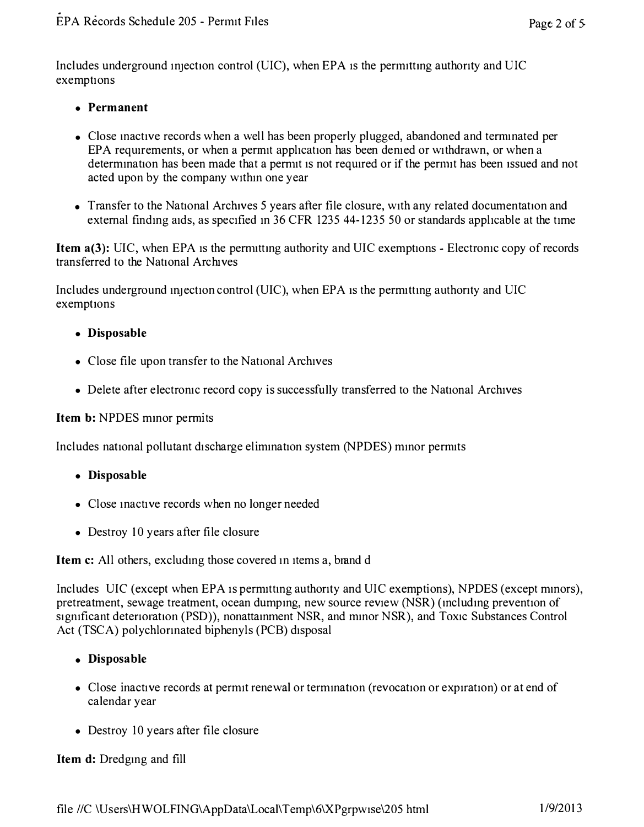Includes underground injection control (UIC), when EPA is the permitting authority and UIC exemptions

## **• Permanent**

- Close mactive records when a well has been properly plugged, abandoned and terminated per EPA requirements, or when a permit application has been denied or withdrawn, or when a determination has been made that a permit is not required or if the permit has been issued and not acted upon by the company within one year
- Transfer to the National Archives 5 years after file closure, with any related documentation and external finding aids, as specified in 36 CFR 1235 44-1235 50 or standards applicable at the time

**Item a(3):** UIC, when EPA is the permitting authority and UIC exemptions - Electronic copy of records transferred to the National Archives

Includes underground injection control (UIC), when EPA is the permitting authority and UIC exemptions

### **• Disposable**

- Close file upon transfer to the National Archives
- Delete after electronic record copy is successfully transferred to the National Archives

#### **Item b:** NPDES minor permits

Includes national pollutant discharge elimination system (NPDES) minor permits

- **Disposable**
- Close inactive records when no longer needed
- Destroy 10 years after file closure

**Item c:** All others, excluding those covered in items a, brand d

Includes UIC (except when EPA is permitting authority and UIC exemptions), NPDES (except minors), pretreatment, sewage treatment, ocean dumping, new source review (NSR) (including prevention of significant deterioration (PSD)), nonattainment NSR, and minor NSR), and Toxic Substances Control Act (TSCA) polychlonnated biphenyls (PCB) disposal

### **• Disposable**

- Close inactive records at permit renewal or termination (revocation or expiration) or at end of calendar year
- Destroy 10 years after file closure

### **Item d:** Dredging and fill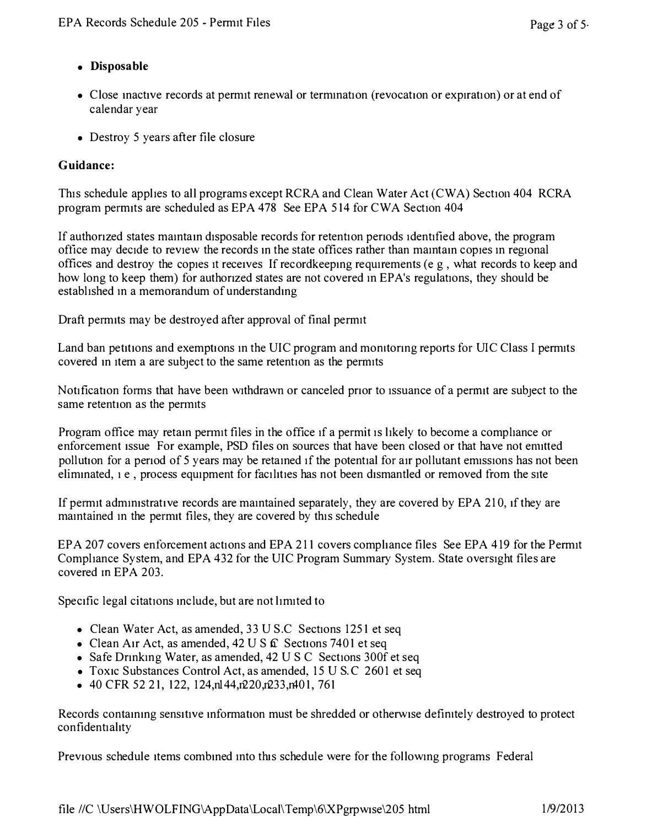# **• Disposable**

- Close mactive records at permit renewal or termination (revocation or expiration) or at end of calendar year
- Destroy 5 years after file closure

# **Guidance:**

This schedule applies to all programs except RCRA and Clean Water Act (CWA) Section 404 RCRA program permits are scheduled as EPA 478 See EPA 514 for CWA Section 404

If authonzed states mamtam disposable records for retention penods 1dent1fied above, the program office may decide to review the records in the state offices rather than maintain copies in regional offices and destroy the copies it receives If recordkeeping requirements (e g, what records to keep and how long to keep them) for authorized states are not covered in EPA's regulations, they should be established m a memorandum of understandmg

Draft permits may be destroyed after approval of final penmt

Land ban petitions and exemptions m the UIC program and momtonng reports for UIC Class I permits covered in item a are subject to the same retention as the permits

Notification forms that have been withdrawn or canceled prior to issuance of a permit are subject to the same retention as the permits

Program office may retam penmt files in the office 1f a permit 1s likely to become a compliance or enforcement issue For example, PSD files on sources that have been closed or that have not enutted pollution for a period of 5 years may be retained if the potential for air pollutant emissions has not been eliminated, 1 e, process equipment for facilities has not been dismantled or removed from the site

If permit administrative records are maintained separately, they are covered by EPA 210, if they are mamtained m the permit files, they are covered by this schedule

EPA 207 covers enforcement actions and EPA 211 covers compliance files See EPA 419 for the Permit Compliance System, and EPA 432 for the UIC Program Summary System. State oversight files are covered m EPA 203.

Specific legal citations include, but are not limited to

- Clean Water Act, as amended, 33 U S.C Sections 1251 et seq
- Clean Air Act, as amended,  $42 \text{ U } S$   $\hat{\mathbf{L}}$  Sections 7401 et seq
- Safe Drinking Water, as amended, 42 U S C Sections 300f et seq
- Toxic Substances Control Act, as amended, 15 U S.C 2601 et seq
- 40 CFR 52 21, 122, 124, n $144, n220, n233, n401, 761$

Records containing sensitive information must be shredded or otherwise definitely destroyed to protect confidentiality

Previous schedule items combined into this schedule were for the following programs Federal

file //C \Users\HWOLFING\AppData\Local\Temp\6\XPgrpw1se\205 html 1/9/2013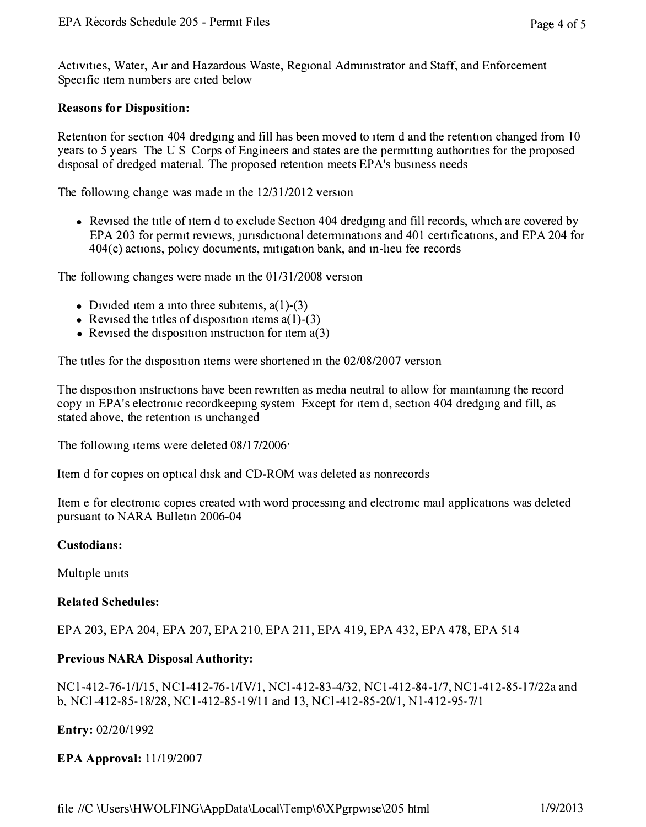<span id="page-5-0"></span>Activities, Water, Air and Hazardous Waste, Regional Administrator and Staff, and Enforcement Specific item numbers are cited below

#### **Reasons for Disposition:**

Retention for section 404 dredging and fill has been moved to item d and the retention changed from 10 years to 5 years The U S Corps of Engineers and states are the permitting authorities for the proposed disposal of dredged matenal. The proposed retention meets EP A's busmess needs

The following change was made in the  $12/31/2012$  version

• Revised the title of item d to exclude Section 404 dredging and fill records, which are covered by EPA 203 for permit reviews, jurisdictional determinations and 401 certifications, and EPA 204 for 404(c) actions, policy documents, m1t1gation bank, and m-heu fee records

The following changes were made in the  $01/31/2008$  version

- Divided item a into three subitems,  $a(1)$ -(3)
- Revised the titles of disposition items  $a(1)$ -(3)
- Revised the disposition instruction for item  $a(3)$

The titles for the disposition items were shortened in the 02/08/2007 version

The disposition instructions have been rewritten as media neutral to allow for maintaining the record copy in EPA's electronic recordkeeping system Except for item d, section 404 dredging and fill, as stated above, the retention 1s unchanged

The following items were deleted 08/17/2006·

Item d for copies on optical disk and CD-ROM was deleted as nonrecords

Item e for electromc copies created with word processmg and electromc mail applications was deleted pursuant to NARA Bulletin 2006-04

#### **Custodians:**

Multiple umts

#### **Related Schedules:**

EPA 203, EPA 204, EPA 207, EPA 210, EPA 211, EPA 419, EPA 432, EPA 478, EPA 514

#### **Previous NARA Disposal Authority:**

NC l-412-76-1/1/15, NCl-412-76-1/IV/1, NCl-412-83-4/32, NC 1-412-84-1/7, NC1-4 I 2-85-l 7/22a and b, NCl-412-85-18/28, NCl-412-85-19/11 and 13, NCl-412-85-20/1, Nl-412-95-7/1

**Entry:** 02/20/1992

**EPA Approval:** 11/19/2007